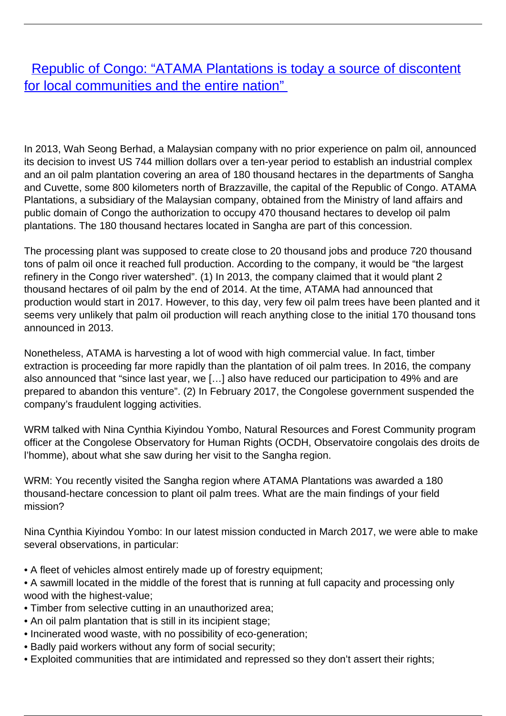[Republic of Congo: "ATAMA Plantations is today a source of discontent](/bulletin-articles/republic-of-congo-atama-plantations-is-today-a-source-of-discontent-for-local-communities-and-the-entire) [for local communities and the entire nation"](/bulletin-articles/republic-of-congo-atama-plantations-is-today-a-source-of-discontent-for-local-communities-and-the-entire)

In 2013, Wah Seong Berhad, a Malaysian company with no prior experience on palm oil, announced its decision to invest US 744 million dollars over a ten-year period to establish an industrial complex and an oil palm plantation covering an area of 180 thousand hectares in the departments of Sangha and Cuvette, some 800 kilometers north of Brazzaville, the capital of the Republic of Congo. ATAMA Plantations, a subsidiary of the Malaysian company, obtained from the Ministry of land affairs and public domain of Congo the authorization to occupy 470 thousand hectares to develop oil palm plantations. The 180 thousand hectares located in Sangha are part of this concession.

The processing plant was supposed to create close to 20 thousand jobs and produce 720 thousand tons of palm oil once it reached full production. According to the company, it would be "the largest refinery in the Congo river watershed". (1) In 2013, the company claimed that it would plant 2 thousand hectares of oil palm by the end of 2014. At the time, ATAMA had announced that production would start in 2017. However, to this day, very few oil palm trees have been planted and it seems very unlikely that palm oil production will reach anything close to the initial 170 thousand tons announced in 2013.

Nonetheless, ATAMA is harvesting a lot of wood with high commercial value. In fact, timber extraction is proceeding far more rapidly than the plantation of oil palm trees. In 2016, the company also announced that "since last year, we […] also have reduced our participation to 49% and are prepared to abandon this venture". (2) In February 2017, the Congolese government suspended the company's fraudulent logging activities.

WRM talked with Nina Cynthia Kiyindou Yombo, Natural Resources and Forest Community program officer at the Congolese Observatory for Human Rights (OCDH, Observatoire congolais des droits de l'homme), about what she saw during her visit to the Sangha region.

WRM: You recently visited the Sangha region where ATAMA Plantations was awarded a 180 thousand-hectare concession to plant oil palm trees. What are the main findings of your field mission?

Nina Cynthia Kiyindou Yombo: In our latest mission conducted in March 2017, we were able to make several observations, in particular:

- A fleet of vehicles almost entirely made up of forestry equipment;
- A sawmill located in the middle of the forest that is running at full capacity and processing only wood with the highest-value;
- Timber from selective cutting in an unauthorized area;
- An oil palm plantation that is still in its incipient stage;
- Incinerated wood waste, with no possibility of eco-generation;
- Badly paid workers without any form of social security;
- Exploited communities that are intimidated and repressed so they don't assert their rights;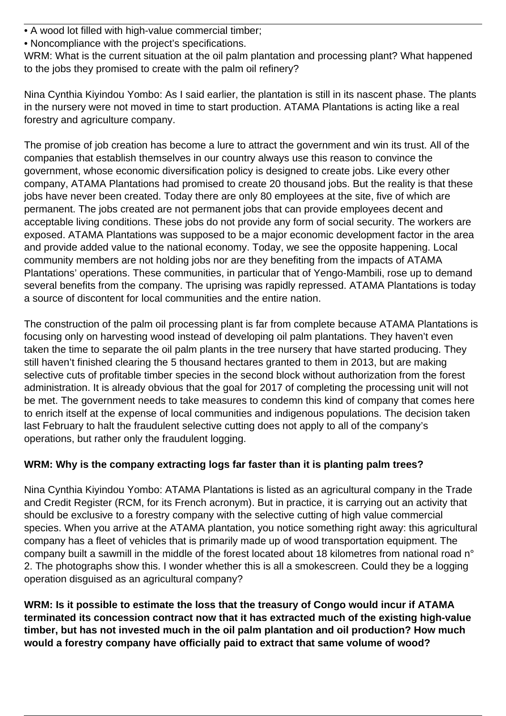- A wood lot filled with high-value commercial timber;
- Noncompliance with the project's specifications.

WRM: What is the current situation at the oil palm plantation and processing plant? What happened to the jobs they promised to create with the palm oil refinery?

Nina Cynthia Kiyindou Yombo: As I said earlier, the plantation is still in its nascent phase. The plants in the nursery were not moved in time to start production. ATAMA Plantations is acting like a real forestry and agriculture company.

The promise of job creation has become a lure to attract the government and win its trust. All of the companies that establish themselves in our country always use this reason to convince the government, whose economic diversification policy is designed to create jobs. Like every other company, ATAMA Plantations had promised to create 20 thousand jobs. But the reality is that these jobs have never been created. Today there are only 80 employees at the site, five of which are permanent. The jobs created are not permanent jobs that can provide employees decent and acceptable living conditions. These jobs do not provide any form of social security. The workers are exposed. ATAMA Plantations was supposed to be a major economic development factor in the area and provide added value to the national economy. Today, we see the opposite happening. Local community members are not holding jobs nor are they benefiting from the impacts of ATAMA Plantations' operations. These communities, in particular that of Yengo-Mambili, rose up to demand several benefits from the company. The uprising was rapidly repressed. ATAMA Plantations is today a source of discontent for local communities and the entire nation.

The construction of the palm oil processing plant is far from complete because ATAMA Plantations is focusing only on harvesting wood instead of developing oil palm plantations. They haven't even taken the time to separate the oil palm plants in the tree nursery that have started producing. They still haven't finished clearing the 5 thousand hectares granted to them in 2013, but are making selective cuts of profitable timber species in the second block without authorization from the forest administration. It is already obvious that the goal for 2017 of completing the processing unit will not be met. The government needs to take measures to condemn this kind of company that comes here to enrich itself at the expense of local communities and indigenous populations. The decision taken last February to halt the fraudulent selective cutting does not apply to all of the company's operations, but rather only the fraudulent logging.

# **WRM: Why is the company extracting logs far faster than it is planting palm trees?**

Nina Cynthia Kiyindou Yombo: ATAMA Plantations is listed as an agricultural company in the Trade and Credit Register (RCM, for its French acronym). But in practice, it is carrying out an activity that should be exclusive to a forestry company with the selective cutting of high value commercial species. When you arrive at the ATAMA plantation, you notice something right away: this agricultural company has a fleet of vehicles that is primarily made up of wood transportation equipment. The company built a sawmill in the middle of the forest located about 18 kilometres from national road n° 2. The photographs show this. I wonder whether this is all a smokescreen. Could they be a logging operation disguised as an agricultural company?

**WRM: Is it possible to estimate the loss that the treasury of Congo would incur if ATAMA terminated its concession contract now that it has extracted much of the existing high-value timber, but has not invested much in the oil palm plantation and oil production? How much would a forestry company have officially paid to extract that same volume of wood?**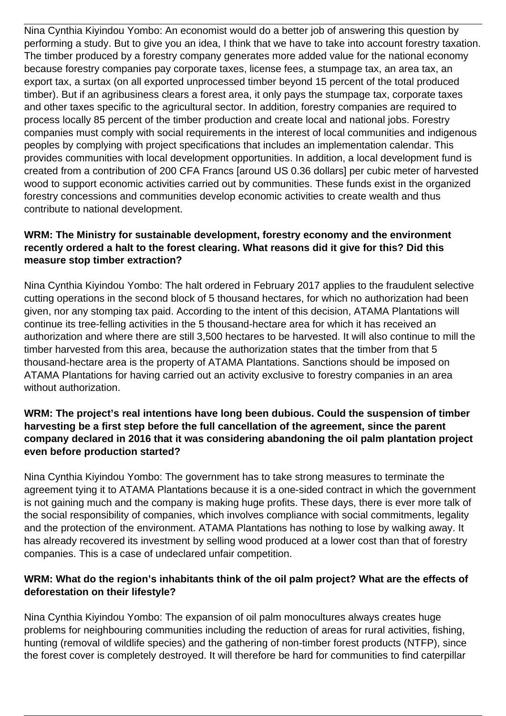Nina Cynthia Kiyindou Yombo: An economist would do a better job of answering this question by performing a study. But to give you an idea, I think that we have to take into account forestry taxation. The timber produced by a forestry company generates more added value for the national economy because forestry companies pay corporate taxes, license fees, a stumpage tax, an area tax, an export tax, a surtax (on all exported unprocessed timber beyond 15 percent of the total produced timber). But if an agribusiness clears a forest area, it only pays the stumpage tax, corporate taxes and other taxes specific to the agricultural sector. In addition, forestry companies are required to process locally 85 percent of the timber production and create local and national jobs. Forestry companies must comply with social requirements in the interest of local communities and indigenous peoples by complying with project specifications that includes an implementation calendar. This provides communities with local development opportunities. In addition, a local development fund is created from a contribution of 200 CFA Francs [around US 0.36 dollars] per cubic meter of harvested wood to support economic activities carried out by communities. These funds exist in the organized forestry concessions and communities develop economic activities to create wealth and thus contribute to national development.

### **WRM: The Ministry for sustainable development, forestry economy and the environment recently ordered a halt to the forest clearing. What reasons did it give for this? Did this measure stop timber extraction?**

Nina Cynthia Kiyindou Yombo: The halt ordered in February 2017 applies to the fraudulent selective cutting operations in the second block of 5 thousand hectares, for which no authorization had been given, nor any stomping tax paid. According to the intent of this decision, ATAMA Plantations will continue its tree-felling activities in the 5 thousand-hectare area for which it has received an authorization and where there are still 3,500 hectares to be harvested. It will also continue to mill the timber harvested from this area, because the authorization states that the timber from that 5 thousand-hectare area is the property of ATAMA Plantations. Sanctions should be imposed on ATAMA Plantations for having carried out an activity exclusive to forestry companies in an area without authorization.

#### **WRM: The project's real intentions have long been dubious. Could the suspension of timber harvesting be a first step before the full cancellation of the agreement, since the parent company declared in 2016 that it was considering abandoning the oil palm plantation project even before production started?**

Nina Cynthia Kiyindou Yombo: The government has to take strong measures to terminate the agreement tying it to ATAMA Plantations because it is a one-sided contract in which the government is not gaining much and the company is making huge profits. These days, there is ever more talk of the social responsibility of companies, which involves compliance with social commitments, legality and the protection of the environment. ATAMA Plantations has nothing to lose by walking away. It has already recovered its investment by selling wood produced at a lower cost than that of forestry companies. This is a case of undeclared unfair competition.

### **WRM: What do the region's inhabitants think of the oil palm project? What are the effects of deforestation on their lifestyle?**

Nina Cynthia Kiyindou Yombo: The expansion of oil palm monocultures always creates huge problems for neighbouring communities including the reduction of areas for rural activities, fishing, hunting (removal of wildlife species) and the gathering of non-timber forest products (NTFP), since the forest cover is completely destroyed. It will therefore be hard for communities to find caterpillar